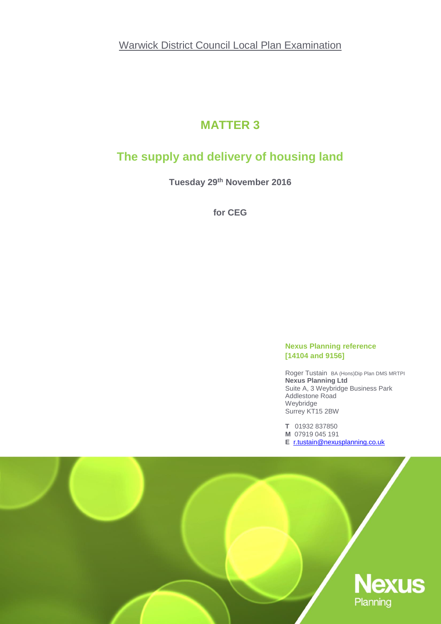Warwick District Council Local Plan Examination

# **MATTER 3**

# **The supply and delivery of housing land**

**Tuesday 29th November 2016**

**for CEG**

#### **Nexus Planning reference [14104 and 9156]**

Roger Tustain BA (Hons)Dip Plan DMS MRTPI **Nexus Planning Ltd** Suite A, 3 Weybridge Business Park Addlestone Road Weybridge Surrey KT15 2BW

**T** 01932 837850 **M** 07919 045 191 **E** [r.tustain@nexusplanning.co.uk](mailto:r.tustain@nexusplanning.co.uk)

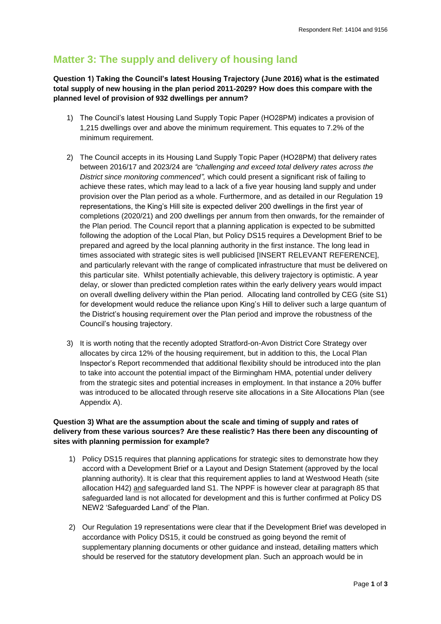## **Matter 3: The supply and delivery of housing land**

**Question 1) Taking the Council's latest Housing Trajectory (June 2016) what is the estimated total supply of new housing in the plan period 2011-2029? How does this compare with the planned level of provision of 932 dwellings per annum?**

- 1) The Council's latest Housing Land Supply Topic Paper (HO28PM) indicates a provision of 1,215 dwellings over and above the minimum requirement. This equates to 7.2% of the minimum requirement.
- 2) The Council accepts in its Housing Land Supply Topic Paper (HO28PM) that delivery rates between 2016/17 and 2023/24 are *"challenging and exceed total delivery rates across the District since monitoring commenced",* which could present a significant risk of failing to achieve these rates, which may lead to a lack of a five year housing land supply and under provision over the Plan period as a whole. Furthermore, and as detailed in our Regulation 19 representations, the King's Hill site is expected deliver 200 dwellings in the first year of completions (2020/21) and 200 dwellings per annum from then onwards, for the remainder of the Plan period. The Council report that a planning application is expected to be submitted following the adoption of the Local Plan, but Policy DS15 requires a Development Brief to be prepared and agreed by the local planning authority in the first instance. The long lead in times associated with strategic sites is well publicised [INSERT RELEVANT REFERENCE], and particularly relevant with the range of complicated infrastructure that must be delivered on this particular site. Whilst potentially achievable, this delivery trajectory is optimistic. A year delay, or slower than predicted completion rates within the early delivery years would impact on overall dwelling delivery within the Plan period. Allocating land controlled by CEG (site S1) for development would reduce the reliance upon King's Hill to deliver such a large quantum of the District's housing requirement over the Plan period and improve the robustness of the Council's housing trajectory.
- 3) It is worth noting that the recently adopted Stratford-on-Avon District Core Strategy over allocates by circa 12% of the housing requirement, but in addition to this, the Local Plan Inspector's Report recommended that additional flexibility should be introduced into the plan to take into account the potential impact of the Birmingham HMA, potential under delivery from the strategic sites and potential increases in employment. In that instance a 20% buffer was introduced to be allocated through reserve site allocations in a Site Allocations Plan (see Appendix A).

#### **Question 3) What are the assumption about the scale and timing of supply and rates of delivery from these various sources? Are these realistic? Has there been any discounting of sites with planning permission for example?**

- 1) Policy DS15 requires that planning applications for strategic sites to demonstrate how they accord with a Development Brief or a Layout and Design Statement (approved by the local planning authority). It is clear that this requirement applies to land at Westwood Heath (site allocation H42) and safeguarded land S1. The NPPF is however clear at paragraph 85 that safeguarded land is not allocated for development and this is further confirmed at Policy DS NEW2 'Safeguarded Land' of the Plan.
- 2) Our Regulation 19 representations were clear that if the Development Brief was developed in accordance with Policy DS15, it could be construed as going beyond the remit of supplementary planning documents or other guidance and instead, detailing matters which should be reserved for the statutory development plan. Such an approach would be in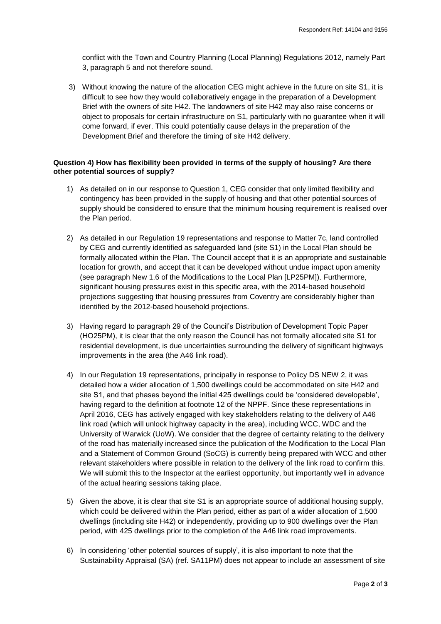conflict with the Town and Country Planning (Local Planning) Regulations 2012, namely Part 3, paragraph 5 and not therefore sound.

3) Without knowing the nature of the allocation CEG might achieve in the future on site S1, it is difficult to see how they would collaboratively engage in the preparation of a Development Brief with the owners of site H42. The landowners of site H42 may also raise concerns or object to proposals for certain infrastructure on S1, particularly with no guarantee when it will come forward, if ever. This could potentially cause delays in the preparation of the Development Brief and therefore the timing of site H42 delivery.

#### **Question 4) How has flexibility been provided in terms of the supply of housing? Are there other potential sources of supply?**

- 1) As detailed on in our response to Question 1, CEG consider that only limited flexibility and contingency has been provided in the supply of housing and that other potential sources of supply should be considered to ensure that the minimum housing requirement is realised over the Plan period.
- 2) As detailed in our Regulation 19 representations and response to Matter 7c, land controlled by CEG and currently identified as safeguarded land (site S1) in the Local Plan should be formally allocated within the Plan. The Council accept that it is an appropriate and sustainable location for growth, and accept that it can be developed without undue impact upon amenity (see paragraph New 1.6 of the Modifications to the Local Plan [LP25PM]). Furthermore, significant housing pressures exist in this specific area, with the 2014-based household projections suggesting that housing pressures from Coventry are considerably higher than identified by the 2012-based household projections.
- 3) Having regard to paragraph 29 of the Council's Distribution of Development Topic Paper (HO25PM), it is clear that the only reason the Council has not formally allocated site S1 for residential development, is due uncertainties surrounding the delivery of significant highways improvements in the area (the A46 link road).
- 4) In our Regulation 19 representations, principally in response to Policy DS NEW 2, it was detailed how a wider allocation of 1,500 dwellings could be accommodated on site H42 and site S1, and that phases beyond the initial 425 dwellings could be 'considered developable', having regard to the definition at footnote 12 of the NPPF. Since these representations in April 2016, CEG has actively engaged with key stakeholders relating to the delivery of A46 link road (which will unlock highway capacity in the area), including WCC, WDC and the University of Warwick (UoW). We consider that the degree of certainty relating to the delivery of the road has materially increased since the publication of the Modification to the Local Plan and a Statement of Common Ground (SoCG) is currently being prepared with WCC and other relevant stakeholders where possible in relation to the delivery of the link road to confirm this. We will submit this to the Inspector at the earliest opportunity, but importantly well in advance of the actual hearing sessions taking place.
- 5) Given the above, it is clear that site S1 is an appropriate source of additional housing supply, which could be delivered within the Plan period, either as part of a wider allocation of 1,500 dwellings (including site H42) or independently, providing up to 900 dwellings over the Plan period, with 425 dwellings prior to the completion of the A46 link road improvements.
- 6) In considering 'other potential sources of supply', it is also important to note that the Sustainability Appraisal (SA) (ref. SA11PM) does not appear to include an assessment of site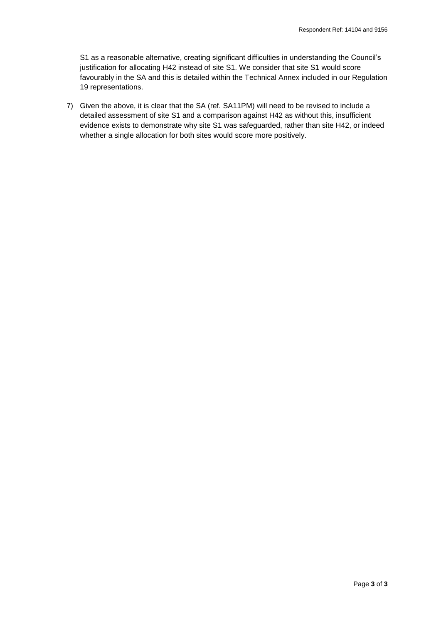S1 as a reasonable alternative, creating significant difficulties in understanding the Council's justification for allocating H42 instead of site S1. We consider that site S1 would score favourably in the SA and this is detailed within the Technical Annex included in our Regulation 19 representations.

7) Given the above, it is clear that the SA (ref. SA11PM) will need to be revised to include a detailed assessment of site S1 and a comparison against H42 as without this, insufficient evidence exists to demonstrate why site S1 was safeguarded, rather than site H42, or indeed whether a single allocation for both sites would score more positively.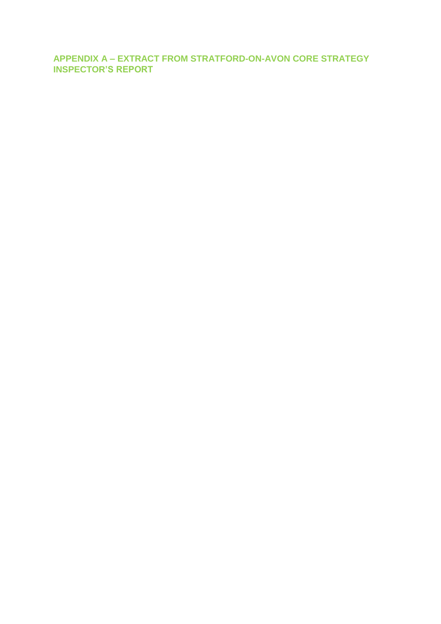**APPENDIX A – EXTRACT FROM STRATFORD-ON-AVON CORE STRATEGY INSPECTOR'S REPORT**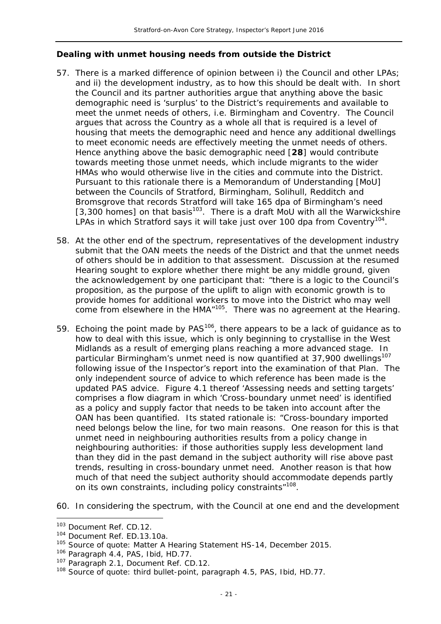### *Dealing with unmet housing needs from outside the District*

- 57. There is a marked difference of opinion between i) the Council and other LPAs; and ii) the development industry, as to how this should be dealt with. In short the Council and its partner authorities argue that anything above the basic demographic need is '*surplus*' to the District's requirements and available to meet the unmet needs of others, i.e. Birmingham and Coventry. The Council argues that across the Country as a whole all that is required is a level of housing that meets the demographic need and hence any additional dwellings to meet economic needs are effectively meeting the unmet needs of others. Hence anything above the basic demographic need [**28**] would contribute towards meeting those unmet needs, which include migrants to the wider HMAs who would otherwise live in the cities and commute into the District. Pursuant to this rationale there is a Memorandum of Understanding [MoU] between the Councils of Stratford, Birmingham, Solihull, Redditch and Bromsgrove that records Stratford will take 165 dpa of Birmingham's need [3,300 homes] on that basis<sup>103</sup>. There is a draft MoU with all the Warwickshire LPAs in which Stratford says it will take just over 100 dpa from Coventry<sup>104</sup>.
- 58. At the other end of the spectrum, representatives of the development industry submit that the OAN meets the needs of the District and that the unmet needs of others should be in addition to that assessment. Discussion at the resumed Hearing sought to explore whether there might be any middle ground, given the acknowledgement by one participant that: "*there is a logic to the Council's proposition, as the purpose of the uplift to align with economic growth is to provide homes for additional workers to move into the District who may well come from elsewhere in the HMA*"105. There was no agreement at the Hearing.
- 59. Echoing the point made by  $PAS^{106}$ , there appears to be a lack of guidance as to how to deal with this issue, which is only beginning to crystallise in the West Midlands as a result of emerging plans reaching a more advanced stage. In particular Birmingham's unmet need is now quantified at 37,900 dwellings<sup>107</sup> following issue of the Inspector's report into the examination of that Plan. The only independent source of advice to which reference has been made is the updated PAS advice. Figure 4.1 thereof '*Assessing needs and setting targets*' comprises a flow diagram in which '*Cross-boundary unmet need*' is identified as a policy and supply factor that needs to be taken into account after the OAN has been quantified. Its stated rationale is: "*Cross-boundary imported need belongs below the line, for two main reasons. One reason for this is that unmet need in neighbouring authorities results from a policy change in neighbouring authorities: if those authorities supply less development land than they did in the past demand in the subject authority will rise above past trends, resulting in cross-boundary unmet need. Another reason is that how much of that need the subject authority should accommodate depends partly on its own constraints, including policy constraints*"108.
- 60. In considering the spectrum, with the Council at one end and the development

 $\overline{a}$ 

<sup>103</sup> Document Ref. CD.12.

<sup>104</sup> Document Ref. ED.13.10a.

<sup>&</sup>lt;sup>105</sup> Source of quote: Matter A Hearing Statement HS-14, December 2015.

<sup>&</sup>lt;sup>106</sup> Paragraph 4.4, PAS, Ibid, HD.77.

<sup>&</sup>lt;sup>107</sup> Paragraph 2.1, Document Ref. CD.12.

<sup>&</sup>lt;sup>108</sup> Source of quote: third bullet-point, paragraph 4.5, PAS, Ibid, HD.77.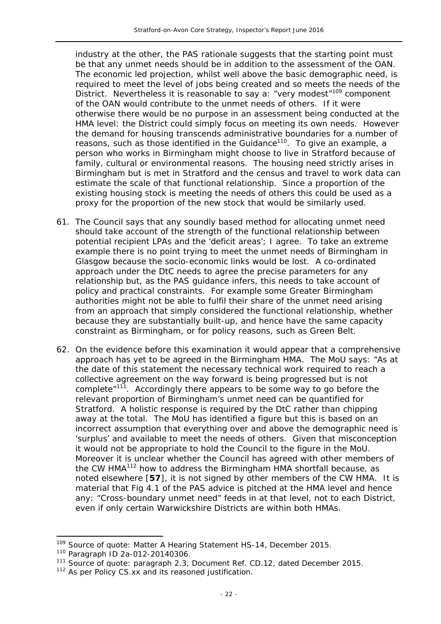industry at the other, the PAS rationale suggests that the starting point must be that any unmet needs should be in addition to the assessment of the OAN. The economic led projection, whilst well above the basic demographic need, is required to meet the level of jobs being created and so meets the needs of the District. Nevertheless it is reasonable to say a: "*very modest*"109 component of the OAN would contribute to the unmet needs of others. If it were otherwise there would be no purpose in an assessment being conducted at the HMA level: the District could simply focus on meeting its own needs. However the demand for housing transcends administrative boundaries for a number of reasons, such as those identified in the Guidance<sup>110</sup>. To give an example, a person who works in Birmingham might choose to live in Stratford because of family, cultural or environmental reasons. The housing need strictly arises in Birmingham but is met in Stratford and the census and travel to work data can estimate the scale of that functional relationship. Since a proportion of the existing housing stock is meeting the needs of others this could be used as a proxy for the proportion of the new stock that would be similarly used.

- 61. The Council says that any soundly based method for allocating unmet need should take account of the strength of the functional relationship between potential recipient LPAs and the '*deficit areas*'; I agree. To take an extreme example there is no point trying to meet the unmet needs of Birmingham in Glasgow because the socio-economic links would be lost. A co-ordinated approach under the DtC needs to agree the precise parameters for any relationship but, as the PAS guidance infers, this needs to take account of policy and practical constraints. For example some Greater Birmingham authorities might not be able to fulfil their share of the unmet need arising from an approach that simply considered the functional relationship, whether because they are substantially built-up, and hence have the same capacity constraint as Birmingham, or for policy reasons, such as Green Belt.
- 62. On the evidence before this examination it would appear that a comprehensive approach has yet to be agreed in the Birmingham HMA. The MoU says: "*As at the date of this statement the necessary technical work required to reach a collective agreement on the way forward is being progressed but is not complete*"111. Accordingly there appears to be some way to go before the relevant proportion of Birmingham's unmet need can be quantified for Stratford. A holistic response is required by the DtC rather than chipping away at the total. The MoU has identified a figure but this is based on an incorrect assumption that everything over and above the demographic need is '*surplus*' and available to meet the needs of others. Given that misconception it would not be appropriate to hold the Council to the figure in the MoU. Moreover it is unclear whether the Council has agreed with other members of the CW HMA<sup>112</sup> how to address the Birmingham HMA shortfall because, as noted elsewhere [**57**], it is not signed by other members of the CW HMA. It is material that Fig 4.1 of the PAS advice is pitched at the HMA level and hence any: "*Cross-boundary unmet need*" feeds in at that level, not to each District, even if only certain Warwickshire Districts are within both HMAs.

j

<sup>&</sup>lt;sup>109</sup> Source of quote: Matter A Hearing Statement HS-14, December 2015.

<sup>110</sup> Paragraph ID 2a-012-20140306.

<sup>&</sup>lt;sup>111</sup> Source of quote: paragraph 2.3, Document Ref. CD.12, dated December 2015.

<sup>&</sup>lt;sup>112</sup> As per Policy CS.xx and its reasoned justification.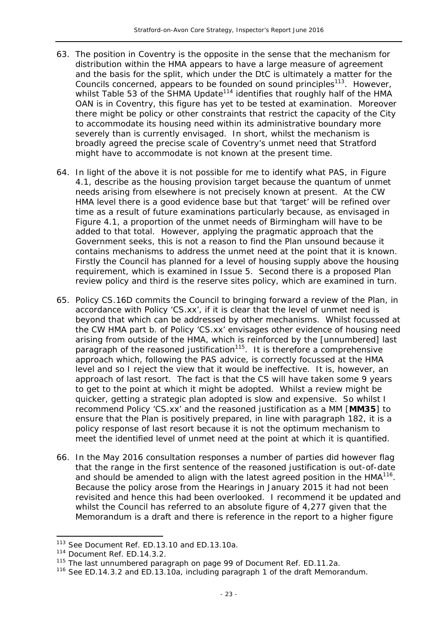- 63. The position in Coventry is the opposite in the sense that the mechanism for distribution within the HMA appears to have a large measure of agreement and the basis for the split, which under the DtC is ultimately a matter for the Councils concerned, appears to be founded on sound principles<sup>113</sup>. However, whilst Table 53 of the SHMA Update<sup>114</sup> identifies that roughly half of the HMA OAN is in Coventry, this figure has yet to be tested at examination. Moreover there might be policy or other constraints that restrict the capacity of the City to accommodate its housing need within its administrative boundary more severely than is currently envisaged. In short, whilst the mechanism is broadly agreed the precise scale of Coventry's unmet need that Stratford might have to accommodate is not known at the present time.
- 64. In light of the above it is not possible for me to identify what PAS, in Figure 4.1, describe as the housing provision target because the quantum of unmet needs arising from elsewhere is not precisely known at present. At the CW HMA level there is a good evidence base but that 'target' will be refined over time as a result of future examinations particularly because, as envisaged in Figure 4.1, a proportion of the unmet needs of Birmingham will have to be added to that total. However, applying the pragmatic approach that the Government seeks, this is not a reason to find the Plan unsound because it contains mechanisms to address the unmet need at the point that it is known. Firstly the Council has planned for a level of housing supply above the housing requirement, which is examined in Issue 5. Second there is a proposed Plan review policy and third is the reserve sites policy, which are examined in turn.
- 65. Policy CS.16D commits the Council to bringing forward a review of the Plan, in accordance with Policy 'CS.xx', if it is clear that the level of unmet need is beyond that which can be addressed by other mechanisms. Whilst focussed at the CW HMA part b. of Policy 'CS.xx' envisages other evidence of housing need arising from outside of the HMA, which is reinforced by the [unnumbered] last paragraph of the reasoned justification<sup>115</sup>. It is therefore a comprehensive approach which, following the PAS advice, is correctly focussed at the HMA level and so I reject the view that it would be ineffective. It is, however, an approach of last resort. The fact is that the CS will have taken some 9 years to get to the point at which it might be adopted. Whilst a review might be quicker, getting a strategic plan adopted is slow and expensive. So whilst I recommend Policy 'CS.xx' and the reasoned justification as a MM [**MM35**] to ensure that the Plan is positively prepared, in line with paragraph 182, it is a policy response of last resort because it is not the optimum mechanism to meet the identified level of unmet need at the point at which it is quantified.
- 66. In the May 2016 consultation responses a number of parties did however flag that the range in the first sentence of the reasoned justification is out-of-date and should be amended to align with the latest agreed position in the  $HMA<sup>116</sup>$ . Because the policy arose from the Hearings in January 2015 it had not been revisited and hence this had been overlooked. I recommend it be updated and whilst the Council has referred to an absolute figure of 4,277 given that the Memorandum is a draft and there is reference in the report to a higher figure

j

<sup>113</sup> See Document Ref. ED.13.10 and ED.13.10a.

<sup>114</sup> Document Ref. ED.14.3.2.

<sup>&</sup>lt;sup>115</sup> The last unnumbered paragraph on page 99 of Document Ref. ED.11.2a.

<sup>&</sup>lt;sup>116</sup> See ED.14.3.2 and ED.13.10a, including paragraph 1 of the draft Memorandum.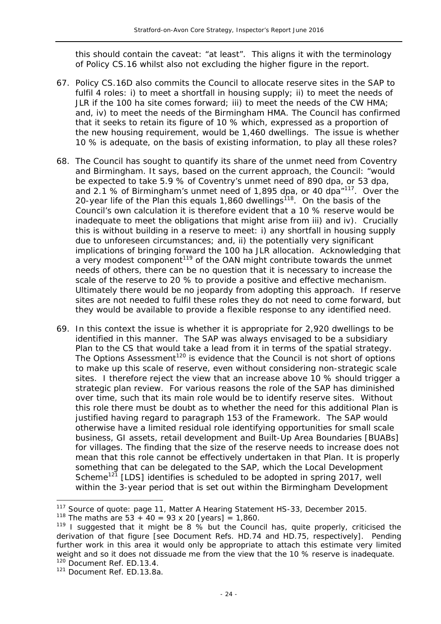this should contain the caveat: "*at least*". This aligns it with the terminology of Policy CS.16 whilst also not excluding the higher figure in the report.

- 67. Policy CS.16D also commits the Council to allocate reserve sites in the SAP to fulfil 4 roles: i) to meet a shortfall in housing supply; ii) to meet the needs of JLR if the 100 ha site comes forward; iii) to meet the needs of the CW HMA; and, iv) to meet the needs of the Birmingham HMA. The Council has confirmed that it seeks to retain its figure of 10 % which, expressed as a proportion of the new housing requirement, would be 1,460 dwellings. The issue is whether 10 % is adequate, on the basis of existing information, to play all these roles?
- 68. The Council has sought to quantify its share of the unmet need from Coventry and Birmingham. It says, based on the current approach, the Council: "*would be expected to take 5.9 % of Coventry's unmet need of 890 dpa, or 53 dpa, and 2.1 % of Birmingham's unmet need of 1,895 dpa, or 40 dpa*"117. Over the 20-year life of the Plan this equals 1,860 dwellings<sup>118</sup>. On the basis of the Council's own calculation it is therefore evident that a 10 % reserve would be inadequate to meet the obligations that might arise from iii) and iv). Crucially this is without building in a reserve to meet: i) any shortfall in housing supply due to unforeseen circumstances; and, ii) the potentially very significant implications of bringing forward the 100 ha JLR allocation. Acknowledging that a very modest component<sup>119</sup> of the OAN might contribute towards the unmet needs of others, there can be no question that it is necessary to increase the scale of the reserve to 20 % to provide a positive and effective mechanism. Ultimately there would be no jeopardy from adopting this approach. If reserve sites are not needed to fulfil these roles they do not need to come forward, but they would be available to provide a flexible response to any identified need.
- 69. In this context the issue is whether it is appropriate for 2,920 dwellings to be identified in this manner. The SAP was always envisaged to be a subsidiary Plan to the CS that would take a lead from it in terms of the spatial strategy. The Options Assessment<sup>120</sup> is evidence that the Council is not short of options to make up this scale of reserve, even without considering non-strategic scale sites. I therefore reject the view that an increase above 10 % should trigger a strategic plan review. For various reasons the role of the SAP has diminished over time, such that its main role would be to identify reserve sites. Without this role there must be doubt as to whether the need for this additional Plan is justified having regard to paragraph 153 of the Framework. The SAP would otherwise have a limited residual role identifying opportunities for small scale business, GI assets, retail development and Built-Up Area Boundaries [BUABs] for villages. The finding that the size of the reserve needs to increase does not mean that this role cannot be effectively undertaken in that Plan. It is properly something that can be delegated to the SAP, which the Local Development Scheme<sup>121</sup> [LDS] identifies is scheduled to be adopted in spring 2017, well within the 3-year period that is set out within the Birmingham Development

 $\overline{a}$ 

<sup>&</sup>lt;sup>117</sup> Source of quote: page 11, Matter A Hearing Statement HS-33, December 2015.

<sup>&</sup>lt;sup>118</sup> The maths are  $53 + 40 = 93 \times 20$  [years] = 1,860.

<sup>&</sup>lt;sup>119</sup> I suggested that it might be 8  $\frac{9}{2}$  but the Council has, quite properly, criticised the derivation of that figure [see Document Refs. HD.74 and HD.75, respectively]. Pending further work in this area it would only be appropriate to attach this estimate very limited weight and so it does not dissuade me from the view that the 10 % reserve is inadequate. <sup>120</sup> Document Ref. ED.13.4.

<sup>121</sup> Document Ref. ED.13.8a.